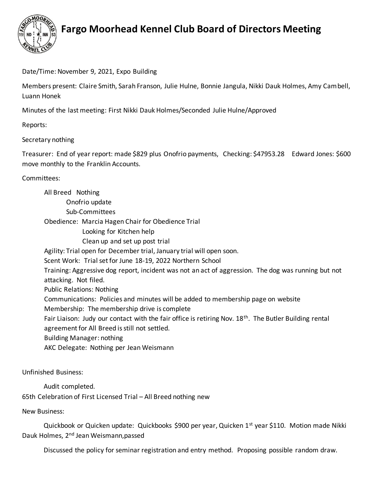

## **Fargo Moorhead Kennel Club Board of Directors Meeting**

Date/Time: November 9, 2021, Expo Building

Members present: Claire Smith, Sarah Franson, Julie Hulne, Bonnie Jangula, Nikki Dauk Holmes, Amy Cambell, Luann Honek

Minutes of the last meeting: First Nikki Dauk Holmes/Seconded Julie Hulne/Approved

Reports:

## Secretary nothing

Treasurer: End of year report: made \$829 plus Onofrio payments, Checking: \$47953.28 Edward Jones: \$600 move monthly to the Franklin Accounts.

## Committees:

All Breed Nothing Onofrio update Sub-Committees Obedience: Marcia Hagen Chair for Obedience Trial Looking for Kitchen help Clean up and set up post trial Agility: Trial open for December trial, January trial will open soon. Scent Work: Trial set for June 18-19, 2022 Northern School Training: Aggressive dog report, incident was not an act of aggression. The dog was running but not attacking. Not filed. Public Relations: Nothing Communications: Policies and minutes will be added to membership page on website Membership: The membership drive is complete Fair Liaison: Judy our contact with the fair office is retiring Nov. 18<sup>th</sup>. The Butler Building rental agreement for All Breed is still not settled. Building Manager: nothing AKC Delegate: Nothing per Jean Weismann

Unfinished Business:

Audit completed.

65th Celebration of First Licensed Trial – All Breed nothing new

New Business:

Quickbook or Quicken update: Quickbooks \$900 per year, Quicken 1<sup>st</sup> year \$110. Motion made Nikki Dauk Holmes, 2<sup>nd</sup> Jean Weismann, passed

Discussed the policy for seminar registration and entry method. Proposing possible random draw.